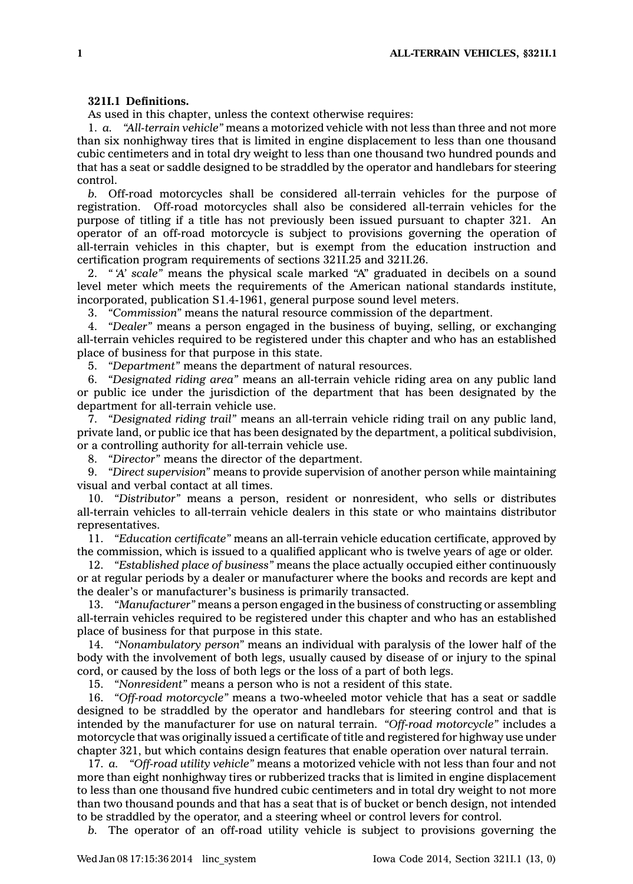## **321I.1 Definitions.**

As used in this chapter, unless the context otherwise requires:

1. *a. "All-terrain vehicle"* means <sup>a</sup> motorized vehicle with not less than three and not more than six nonhighway tires that is limited in engine displacement to less than one thousand cubic centimeters and in total dry weight to less than one thousand two hundred pounds and that has <sup>a</sup> seat or saddle designed to be straddled by the operator and handlebars for steering control.

*b.* Off-road motorcycles shall be considered all-terrain vehicles for the purpose of registration. Off-road motorcycles shall also be considered all-terrain vehicles for the purpose of titling if <sup>a</sup> title has not previously been issued pursuant to chapter 321. An operator of an off-road motorcycle is subject to provisions governing the operation of all-terrain vehicles in this chapter, but is exempt from the education instruction and certification program requirements of sections 321I.25 and 321I.26.

2. *" 'A' scale"* means the physical scale marked "A" graduated in decibels on <sup>a</sup> sound level meter which meets the requirements of the American national standards institute, incorporated, publication S1.4-1961, general purpose sound level meters.

3. *"Commission"* means the natural resource commission of the department.

4. *"Dealer"* means <sup>a</sup> person engaged in the business of buying, selling, or exchanging all-terrain vehicles required to be registered under this chapter and who has an established place of business for that purpose in this state.

5. *"Department"* means the department of natural resources.

6. *"Designated riding area"* means an all-terrain vehicle riding area on any public land or public ice under the jurisdiction of the department that has been designated by the department for all-terrain vehicle use.

7. *"Designated riding trail"* means an all-terrain vehicle riding trail on any public land, private land, or public ice that has been designated by the department, <sup>a</sup> political subdivision, or <sup>a</sup> controlling authority for all-terrain vehicle use.

8. *"Director"* means the director of the department.

9. *"Direct supervision"* means to provide supervision of another person while maintaining visual and verbal contact at all times.

10. *"Distributor"* means <sup>a</sup> person, resident or nonresident, who sells or distributes all-terrain vehicles to all-terrain vehicle dealers in this state or who maintains distributor representatives.

11. *"Education certificate"* means an all-terrain vehicle education certificate, approved by the commission, which is issued to <sup>a</sup> qualified applicant who is twelve years of age or older.

12. *"Established place of business"* means the place actually occupied either continuously or at regular periods by <sup>a</sup> dealer or manufacturer where the books and records are kept and the dealer's or manufacturer's business is primarily transacted.

13. *"Manufacturer"* means <sup>a</sup> person engaged in the business of constructing or assembling all-terrain vehicles required to be registered under this chapter and who has an established place of business for that purpose in this state.

14. *"Nonambulatory person"* means an individual with paralysis of the lower half of the body with the involvement of both legs, usually caused by disease of or injury to the spinal cord, or caused by the loss of both legs or the loss of <sup>a</sup> part of both legs.

15. *"Nonresident"* means <sup>a</sup> person who is not <sup>a</sup> resident of this state.

16. *"Off-road motorcycle"* means <sup>a</sup> two-wheeled motor vehicle that has <sup>a</sup> seat or saddle designed to be straddled by the operator and handlebars for steering control and that is intended by the manufacturer for use on natural terrain. *"Off-road motorcycle"* includes <sup>a</sup> motorcycle that was originally issued <sup>a</sup> certificate of title and registered for highway use under chapter 321, but which contains design features that enable operation over natural terrain.

17. *a. "Off-road utility vehicle"* means <sup>a</sup> motorized vehicle with not less than four and not more than eight nonhighway tires or rubberized tracks that is limited in engine displacement to less than one thousand five hundred cubic centimeters and in total dry weight to not more than two thousand pounds and that has <sup>a</sup> seat that is of bucket or bench design, not intended to be straddled by the operator, and <sup>a</sup> steering wheel or control levers for control.

*b.* The operator of an off-road utility vehicle is subject to provisions governing the